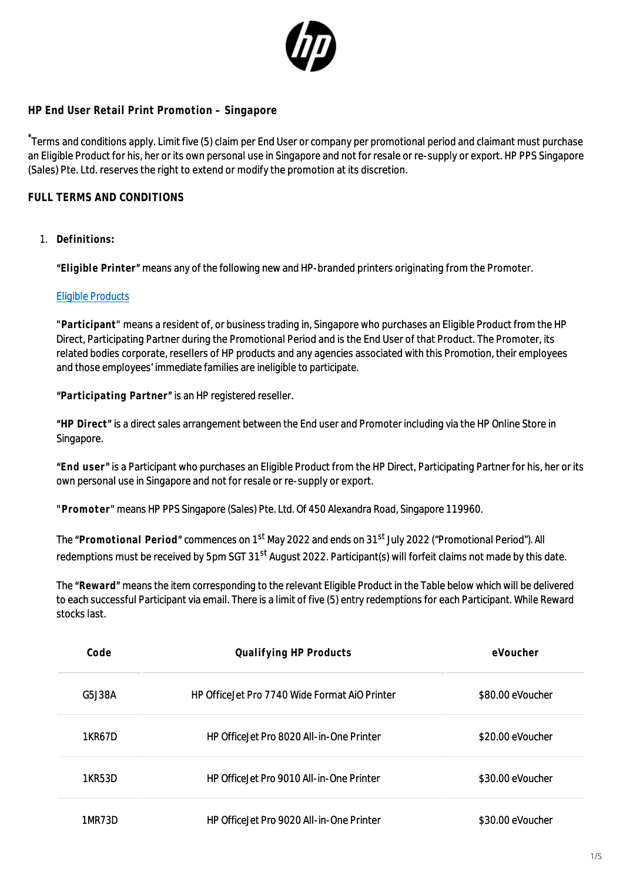

## **HP End User Retail Print Promotion – Singapore**

Terms and conditions apply. Limit five (5) claim per End User or company per promotional period and claimant must purchase an Eligible Product for his, her or its own personal use in Singapore and not for resale or re-supply or export. HP PPS Singapore (Sales) Pte. Ltd. reserves the right to extend or modify the promotion at its discretion.

## **FULL TERMS AND CONDITIONS**

1. **Definitions:**

**"Eligible Printer"** means any of the following new and HP-branded printers originating from the Promoter.

## [Eligible Products](http://h41201.www4.hp.com/WMCF.Web/sg/en/flex/16327/productinfo/)

**"Participant"** means a resident of, or business trading in, Singapore who purchases an Eligible Product from the HP Direct, Participating Partner during the Promotional Period and is the End User of that Product. The Promoter, its related bodies corporate, resellers of HP products and any agencies associated with this Promotion, their employees and those employees' immediate families are ineligible to participate.

**"Participating Partner"** is an HP registered reseller.

**"HP Direct"** is a direct sales arrangement between the End user and Promoter including via the HP Online Store in Singapore.

**"End user"** is a Participant who purchases an Eligible Product from the HP Direct, Participating Partner for his, her or its own personal use in Singapore and not for resale or re-supply or export.

**"Promoter"** means HP PPS Singapore (Sales) Pte. Ltd. Of 450 Alexandra Road, Singapore 119960.

The **"Promotional Period"** commences on 1st May 2022 and ends on 31st July 2022 ("Promotional Period"). All redemptions must be received by 5pm SGT 31<sup>st</sup> August 2022. Participant(s) will forfeit claims not made by this date.

The **"Reward"** means the item corresponding to the relevant Eligible Product in the Table below which will be delivered to each successful Participant via email. There is a limit of five (5) entry redemptions for each Participant. While Reward stocks last.

| Code   | Qualifying HP Products                         | eVoucher         |
|--------|------------------------------------------------|------------------|
| G5J38A | HP Office let Pro 7740 Wide Format AiO Printer | \$80.00 eVoucher |
| 1KR67D | HP Office let Pro 8020 All-in-One Printer      | \$20.00 eVoucher |
| 1KR53D | HP Office let Pro 9010 All-in-One Printer      | \$30.00 eVoucher |
| 1MR73D | HP Office let Pro 9020 All-in-One Printer      | \$30.00 eVoucher |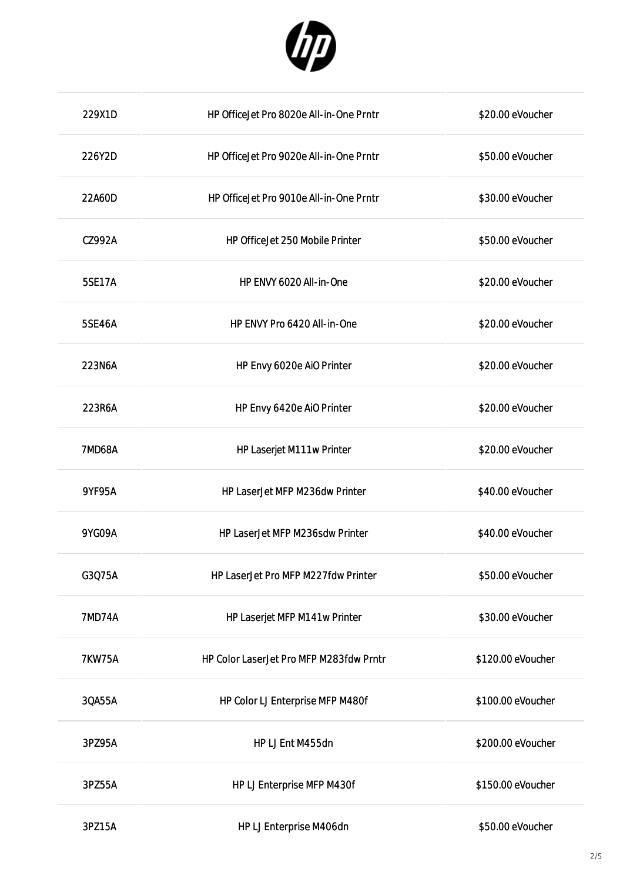

| 229X1D        | HP OfficeJet Pro 8020e All-in-One Prntr | \$20.00 eVoucher  |
|---------------|-----------------------------------------|-------------------|
| 226Y2D        | HP OfficeJet Pro 9020e All-in-One Prntr | \$50.00 eVoucher  |
| 22A60D        | HP OfficeJet Pro 9010e All-in-One Prntr | \$30.00 eVoucher  |
| CZ992A        | HP OfficeJet 250 Mobile Printer         | \$50.00 eVoucher  |
| 5SE17A        | HP ENVY 6020 All-in-One                 | \$20.00 eVoucher  |
| 5SE46A        | HP ENVY Pro 6420 All-in-One             | \$20.00 eVoucher  |
| 223N6A        | HP Envy 6020e AiO Printer               | \$20.00 eVoucher  |
| 223R6A        | HP Envy 6420e AiO Printer               | \$20.00 eVoucher  |
| <b>7MD68A</b> | HP Laserjet M111w Printer               | \$20.00 eVoucher  |
| 9YF95A        | HP LaserJet MFP M236dw Printer          | \$40.00 eVoucher  |
| 9YG09A        | HP LaserJet MFP M236sdw Printer         | \$40.00 eVoucher  |
| G3Q75A        | HP LaserJet Pro MFP M227fdw Printer     | \$50.00 eVoucher  |
| <b>7MD74A</b> | HP Laserjet MFP M141w Printer           | \$30.00 eVoucher  |
| <b>7KW75A</b> | HP Color LaserJet Pro MFP M283fdw Prntr | \$120.00 eVoucher |
| 3QA55A        | HP Color LJ Enterprise MFP M480f        | \$100.00 eVoucher |
| 3PZ95A        | HP LJ Ent M455dn                        | \$200.00 eVoucher |
| 3PZ55A        | HP LJ Enterprise MFP M430f              | \$150.00 eVoucher |
| 3PZ15A        | HP LJ Enterprise M406dn                 | \$50.00 eVoucher  |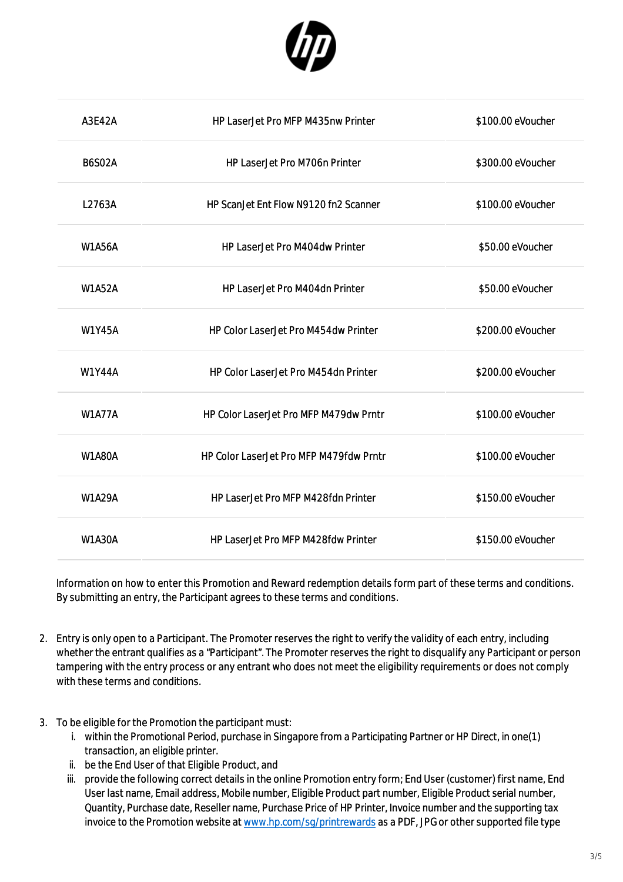

| A3E42A        | <b>HP LaserJet Pro MFP M435nw Printer</b>   | \$100.00 eVoucher |
|---------------|---------------------------------------------|-------------------|
| <b>B6S02A</b> | <b>HP LaserJet Pro M706n Printer</b>        | \$300.00 eVoucher |
| L2763A        | HP ScanJet Ent Flow N9120 fn2 Scanner       | \$100.00 eVoucher |
| <b>W1A56A</b> | HP LaserJet Pro M404dw Printer              | \$50.00 eVoucher  |
| <b>W1A52A</b> | <b>HP LaserJet Pro M404dn Printer</b>       | \$50.00 eVoucher  |
| <b>W1Y45A</b> | HP Color LaserJet Pro M454dw Printer        | \$200.00 eVoucher |
| <b>W1Y44A</b> | <b>HP Color LaserJet Pro M454dn Printer</b> | \$200.00 eVoucher |
| <b>W1A77A</b> | HP Color LaserJet Pro MFP M479dw Prntr      | \$100.00 eVoucher |
| <b>W1A80A</b> | HP Color LaserJet Pro MFP M479fdw Prntr     | \$100.00 eVoucher |
| <b>W1A29A</b> | HP LaserJet Pro MFP M428fdn Printer         | \$150.00 eVoucher |
| <b>W1A30A</b> | <b>HP LaserJet Pro MFP M428fdw Printer</b>  | \$150.00 eVoucher |

Information on how to enter this Promotion and Reward redemption details form part of these terms and conditions. By submitting an entry, the Participant agrees to these terms and conditions.

- 2. Entry is only open to a Participant. The Promoter reserves the right to verify the validity of each entry, including whether the entrant qualifies as a "Participant". The Promoter reserves the right to disqualify any Participant or person tampering with the entry process or any entrant who does not meet the eligibility requirements or does not comply with these terms and conditions.
- 3. To be eligible for the Promotion the participant must:
	- i. within the Promotional Period, purchase in Singapore from a Participating Partner or HP Direct, in one(1) transaction, an eligible printer.
	- ii. be the End User of that Eligible Product, and
	- iii. provide the following correct details in the online Promotion entry form; End User (customer) first name, End User last name, Email address, Mobile number, Eligible Product part number, Eligible Product serial number, Quantity, Purchase date, Reseller name, Purchase Price of HP Printer, Invoice number and the supporting tax invoice to the Promotion website at [www.hp.com/sg/printrewards](http://www.hp.com/sg/printrewards) as a PDF, JPG or other supported file type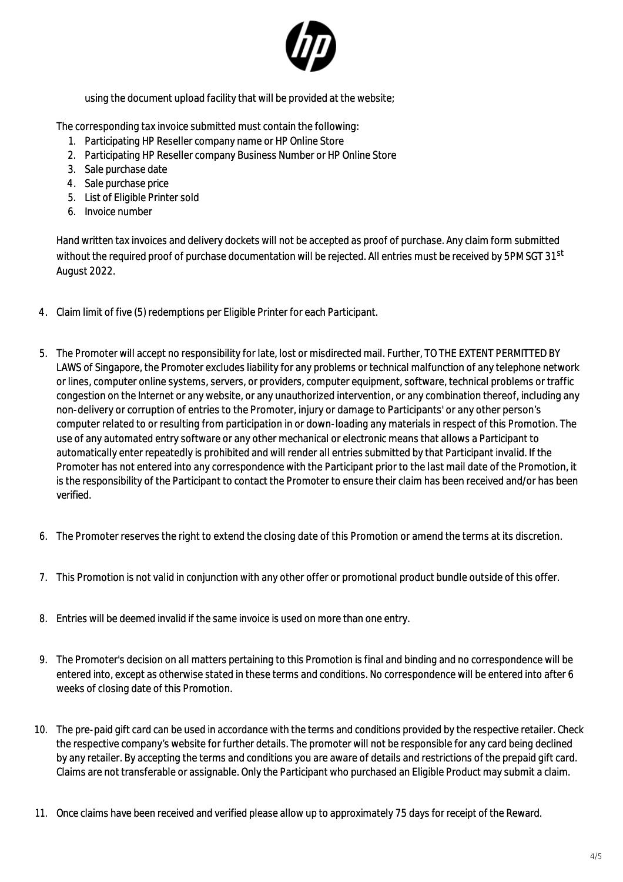

using the document upload facility that will be provided at the website;

The corresponding tax invoice submitted must contain the following:

- 1. Participating HP Reseller company name or HP Online Store
- 2. Participating HP Reseller company Business Number or HP Online Store
- 3. Sale purchase date
- 4. Sale purchase price
- 5. List of Eligible Printer sold
- 6. Invoice number

Hand written tax invoices and delivery dockets will not be accepted as proof of purchase. Any claim form submitted without the required proof of purchase documentation will be rejected. All entries must be received by 5PM SGT 31st August 2022.

- 4. Claim limit of five (5) redemptions per Eligible Printer for each Participant.
- 5. The Promoter will accept no responsibility for late, lost or misdirected mail. Further, TO THE EXTENT PERMITTED BY LAWS of Singapore, the Promoter excludes liability for any problems or technical malfunction of any telephone network or lines, computer online systems, servers, or providers, computer equipment, software, technical problems or traffic congestion on the Internet or any website, or any unauthorized intervention, or any combination thereof, including any non-delivery or corruption of entries to the Promoter, injury or damage to Participants' or any other person's computer related to or resulting from participation in or down-loading any materials in respect of this Promotion. The use of any automated entry software or any other mechanical or electronic means that allows a Participant to automatically enter repeatedly is prohibited and will render all entries submitted by that Participant invalid. If the Promoter has not entered into any correspondence with the Participant prior to the last mail date of the Promotion, it is the responsibility of the Participant to contact the Promoter to ensure their claim has been received and/or has been verified.
- 6. The Promoter reserves the right to extend the closing date of this Promotion or amend the terms at its discretion.
- 7. This Promotion is not valid in conjunction with any other offer or promotional product bundle outside of this offer.
- 8. Entries will be deemed invalid if the same invoice is used on more than one entry.
- 9. The Promoter's decision on all matters pertaining to this Promotion is final and binding and no correspondence will be entered into, except as otherwise stated in these terms and conditions. No correspondence will be entered into after 6 weeks of closing date of this Promotion.
- 10. The pre-paid gift card can be used in accordance with the terms and conditions provided by the respective retailer. Check the respective company's website for further details. The promoter will not be responsible for any card being declined by any retailer. By accepting the terms and conditions you are aware of details and restrictions of the prepaid gift card. Claims are not transferable or assignable. Only the Participant who purchased an Eligible Product may submit a claim.
- 11. Once claims have been received and verified please allow up to approximately 75 days for receipt of the Reward.